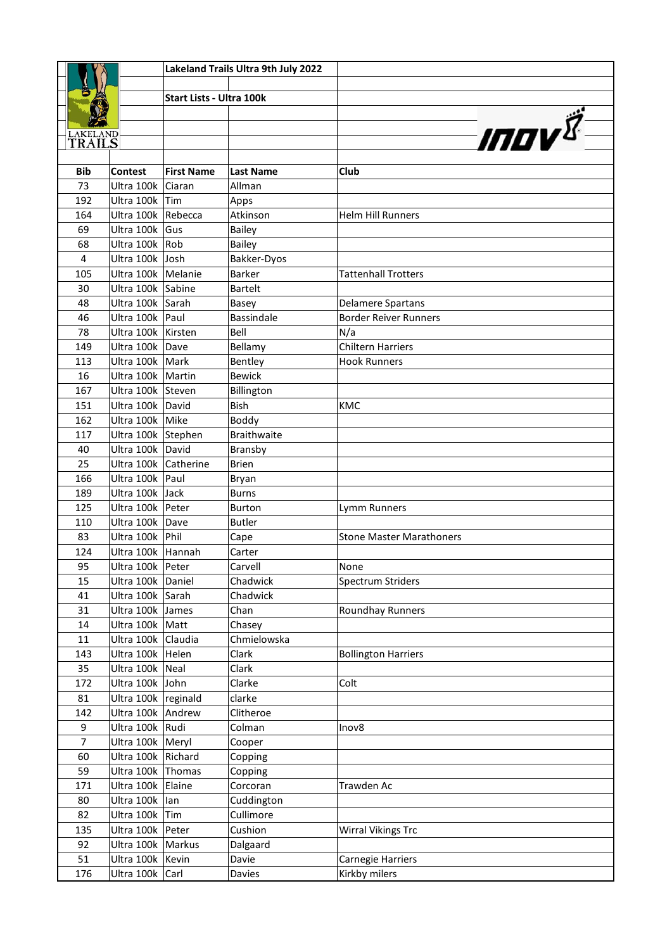|                           |                                      |                          | Lakeland Trails Ultra 9th July 2022 |                                 |
|---------------------------|--------------------------------------|--------------------------|-------------------------------------|---------------------------------|
|                           |                                      |                          |                                     |                                 |
|                           |                                      | Start Lists - Ultra 100k |                                     |                                 |
|                           |                                      |                          |                                     |                                 |
|                           |                                      |                          |                                     | <b>INOV</b>                     |
| <b>LAKELAND</b><br>TRAILS |                                      |                          |                                     |                                 |
|                           |                                      |                          |                                     |                                 |
| <b>Bib</b>                | <b>Contest</b>                       | <b>First Name</b>        | <b>Last Name</b>                    | Club                            |
| 73                        | Ultra 100k                           | Ciaran                   | Allman                              |                                 |
| 192                       | Ultra 100k                           | Tim                      | Apps                                |                                 |
| 164                       | Ultra 100k Rebecca                   |                          | Atkinson                            | <b>Helm Hill Runners</b>        |
| 69                        | Ultra 100k                           | Gus                      | <b>Bailey</b>                       |                                 |
| 68                        | Ultra 100k Rob                       |                          | <b>Bailey</b>                       |                                 |
| $\overline{\mathbf{4}}$   | Ultra 100k Josh                      |                          | Bakker-Dyos                         |                                 |
| 105                       | Ultra 100k   Melanie                 |                          | <b>Barker</b>                       | <b>Tattenhall Trotters</b>      |
| 30                        | Ultra 100k Sabine                    |                          | <b>Bartelt</b>                      |                                 |
| 48                        | Ultra 100k Sarah                     |                          | Basey                               | <b>Delamere Spartans</b>        |
| 46                        | Ultra 100k                           | Paul                     | Bassindale                          | <b>Border Reiver Runners</b>    |
| 78                        | Ultra 100k   Kirsten                 |                          | Bell                                | N/a                             |
| 149                       | Ultra 100k Dave                      |                          | Bellamy                             | <b>Chiltern Harriers</b>        |
| 113                       | Ultra 100k Mark                      |                          | Bentley                             | <b>Hook Runners</b>             |
| 16                        | Ultra 100k   Martin                  |                          | <b>Bewick</b>                       |                                 |
| 167                       | Ultra 100k Steven                    |                          |                                     |                                 |
| 151                       | Ultra 100k David                     |                          | Billington<br>Bish                  | <b>KMC</b>                      |
| 162                       | Ultra 100k   Mike                    |                          | Boddy                               |                                 |
| 117                       | Ultra 100k Stephen                   |                          | <b>Braithwaite</b>                  |                                 |
|                           | Ultra 100k David                     |                          |                                     |                                 |
| 40                        | Ultra 100k Catherine                 |                          | Bransby                             |                                 |
| 25                        |                                      |                          | <b>Brien</b>                        |                                 |
| 166                       | Ultra 100k   Paul                    |                          | Bryan                               |                                 |
| 189                       | Ultra 100k<br>Ultra 100k Peter       | Jack                     | <b>Burns</b>                        |                                 |
| 125                       |                                      |                          | <b>Burton</b>                       | Lymm Runners                    |
| 110<br>83                 | Ultra 100k Dave<br>Ultra 100k   Phil |                          | <b>Butler</b>                       | <b>Stone Master Marathoners</b> |
|                           |                                      |                          | Cape                                |                                 |
| 124                       | Ultra 100k Hannah                    |                          | Carter                              |                                 |
| 95                        | Ultra 100k   Peter                   |                          | Carvell                             | None                            |
| 15                        | Ultra 100k Daniel                    |                          | Chadwick                            | <b>Spectrum Striders</b>        |
| 41                        | Ultra 100k Sarah                     |                          | Chadwick                            |                                 |
| 31                        | Ultra 100k James                     |                          | Chan                                | Roundhay Runners                |
| 14                        | Ultra 100k   Matt                    |                          | Chasey                              |                                 |
| $11\,$                    | Ultra 100k Claudia                   |                          | Chmielowska                         |                                 |
| 143                       | Ultra 100k Helen                     |                          | Clark                               | <b>Bollington Harriers</b>      |
| 35                        | Ultra 100k Neal                      |                          | Clark                               |                                 |
| 172                       | Ultra 100k John                      |                          | Clarke                              | Colt                            |
| 81                        | Ultra 100k reginald                  |                          | clarke                              |                                 |
| 142                       | Ultra 100k Andrew                    |                          | Clitheroe                           |                                 |
| 9                         | Ultra 100k Rudi                      |                          | Colman                              | Inov8                           |
| $\overline{7}$            | Ultra 100k   Meryl                   |                          | Cooper                              |                                 |
| 60                        | Ultra 100k Richard                   |                          | Copping                             |                                 |
| 59                        | Ultra 100k Thomas                    |                          | Copping                             |                                 |
| 171                       | Ultra 100k Elaine                    |                          | Corcoran                            | Trawden Ac                      |
| 80                        | Ultra 100k lan                       |                          | Cuddington                          |                                 |
| 82                        | Ultra 100k                           | Tim                      | Cullimore                           |                                 |
| 135                       | Ultra 100k   Peter                   |                          | Cushion                             | <b>Wirral Vikings Trc</b>       |
| 92                        | Ultra 100k   Markus                  |                          | Dalgaard                            |                                 |
| 51                        | Ultra 100k   Kevin                   |                          | Davie                               | Carnegie Harriers               |
| 176                       | Ultra 100k Carl                      |                          | Davies                              | Kirkby milers                   |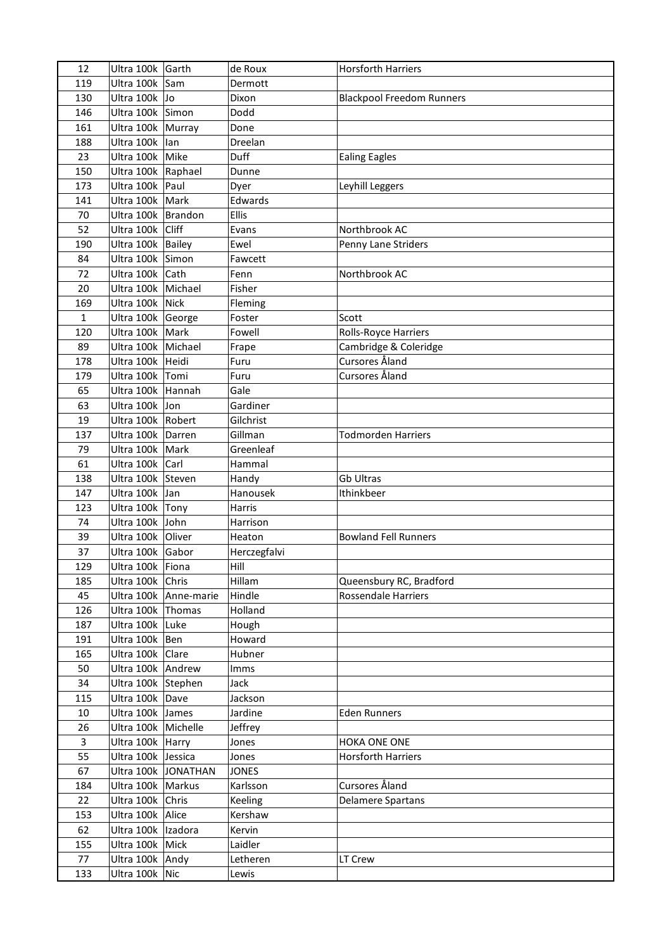| 12             | Ultra 100k Garth      |                         | de Roux      | <b>Horsforth Harriers</b>        |
|----------------|-----------------------|-------------------------|--------------|----------------------------------|
| 119            | Ultra 100k            | Sam                     | Dermott      |                                  |
| 130            | Ultra 100k Jo         |                         | Dixon        | <b>Blackpool Freedom Runners</b> |
| 146            | Ultra 100k Simon      |                         | Dodd         |                                  |
| 161            | Ultra 100k   Murray   |                         | Done         |                                  |
| 188            | Ultra 100k            | lan                     | Dreelan      |                                  |
| 23             | Ultra 100k Mike       |                         | Duff         | <b>Ealing Eagles</b>             |
| 150            | Ultra 100k   Raphael  |                         | Dunne        |                                  |
| 173            | Ultra 100k Paul       |                         | Dyer         | Leyhill Leggers                  |
| 141            | Ultra 100k   Mark     |                         | Edwards      |                                  |
| 70             | Ultra 100k   Brandon  |                         | <b>Ellis</b> |                                  |
| 52             | Ultra 100k            | Cliff                   | Evans        | Northbrook AC                    |
| 190            | Ultra 100k   Bailey   |                         | Ewel         | Penny Lane Striders              |
| 84             | Ultra 100k Simon      |                         | Fawcett      |                                  |
| 72             | Ultra 100k Cath       |                         | Fenn         | Northbrook AC                    |
| 20             | Ultra 100k Michael    |                         | Fisher       |                                  |
| 169            | Ultra 100k            | Nick                    | Fleming      |                                  |
| $\mathbf{1}$   | Ultra 100k George     |                         | Foster       | Scott                            |
| 120            | Ultra 100k Mark       |                         | Fowell       | Rolls-Royce Harriers             |
| 89             | Ultra 100k   Michael  |                         | Frape        | Cambridge & Coleridge            |
| 178            | Ultra 100k Heidi      |                         | Furu         | Cursores Åland                   |
| 179            | Ultra 100k Tomi       |                         | Furu         | Cursores Åland                   |
| 65             | Ultra 100k Hannah     |                         | Gale         |                                  |
| 63             | Ultra 100k Jon        |                         | Gardiner     |                                  |
| 19             | Ultra 100k   Robert   |                         | Gilchrist    |                                  |
| 137            | Ultra 100k Darren     |                         | Gillman      | <b>Todmorden Harriers</b>        |
| 79             | Ultra 100k   Mark     |                         | Greenleaf    |                                  |
| 61             | Ultra 100k   Carl     |                         | Hammal       |                                  |
| 138            | Ultra 100k Steven     |                         | Handy        | Gb Ultras                        |
| 147            | Ultra 100k            | Jan                     | Hanousek     | Ithinkbeer                       |
| 123            | Ultra 100k Tony       |                         | Harris       |                                  |
| 74             | Ultra 100k John       |                         | Harrison     |                                  |
| 39             | Ultra 100k Oliver     |                         | Heaton       | <b>Bowland Fell Runners</b>      |
| 37             | Ultra 100k Gabor      |                         | Herczegfalvi |                                  |
| 129            | Ultra 100k   Fiona    |                         | Hill         |                                  |
| 185            | Ultra 100k Chris      |                         | Hillam       | Queensbury RC, Bradford          |
| 45             |                       | Ultra 100k   Anne-marie | Hindle       | <b>Rossendale Harriers</b>       |
| 126            | Ultra 100k Thomas     |                         | Holland      |                                  |
| 187            | Ultra 100k Luke       |                         | Hough        |                                  |
| 191            | Ultra 100k   Ben      |                         | Howard       |                                  |
| 165            | Ultra 100k   Clare    |                         | Hubner       |                                  |
| 50             | Ultra 100k Andrew     |                         | Imms         |                                  |
| 34             | Ultra 100k Stephen    |                         | Jack         |                                  |
| 115            | Ultra 100k Dave       |                         | Jackson      |                                  |
| 10             | Ultra 100k James      |                         | Jardine      | <b>Eden Runners</b>              |
| 26             | Ultra 100k   Michelle |                         | Jeffrey      |                                  |
| $\overline{3}$ | Ultra 100k Harry      |                         | Jones        | HOKA ONE ONE                     |
| 55             | Ultra 100k Jessica    |                         | Jones        | <b>Horsforth Harriers</b>        |
| 67             |                       | Ultra 100k JONATHAN     | <b>JONES</b> |                                  |
| 184            | Ultra 100k   Markus   |                         | Karlsson     | Cursores Åland                   |
| 22             | Ultra 100k Chris      |                         | Keeling      | <b>Delamere Spartans</b>         |
| 153            | Ultra 100k   Alice    |                         | Kershaw      |                                  |
| 62             | Ultra 100k   Izadora  |                         | Kervin       |                                  |
| 155            | Ultra 100k Mick       |                         | Laidler      |                                  |
| 77             | Ultra 100k Andy       |                         | Letheren     | LT Crew                          |
| 133            | Ultra 100k Nic        |                         | Lewis        |                                  |
|                |                       |                         |              |                                  |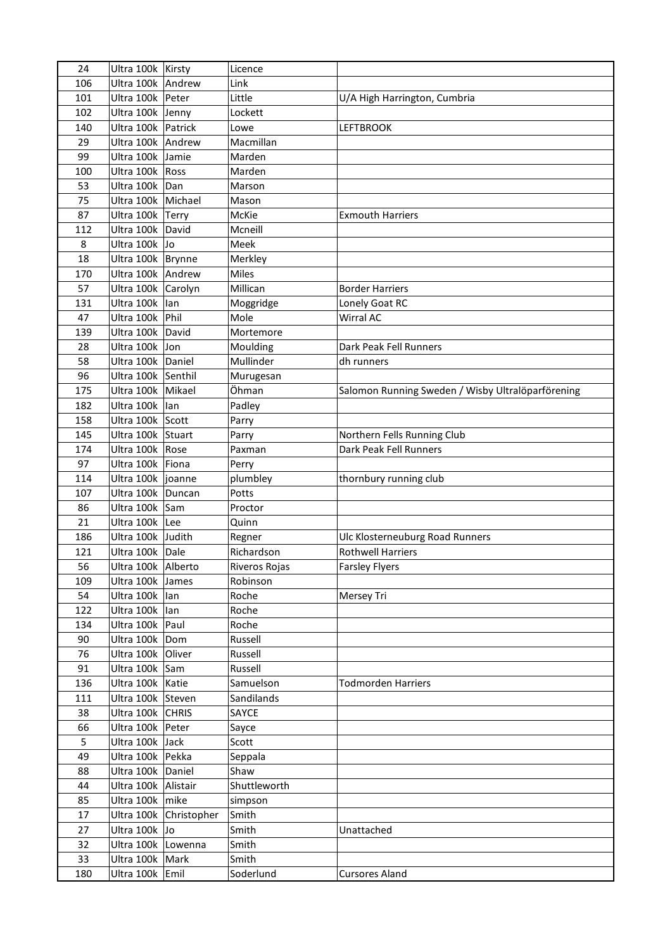| 24  | Ultra 100k   Kirsty  |                        | Licence       |                                                   |
|-----|----------------------|------------------------|---------------|---------------------------------------------------|
| 106 | Ultra 100k Andrew    |                        | Link          |                                                   |
| 101 | Ultra 100k   Peter   |                        | Little        | U/A High Harrington, Cumbria                      |
| 102 | Ultra 100k Jenny     |                        | Lockett       |                                                   |
| 140 | Ultra 100k Patrick   |                        | Lowe          | <b>LEFTBROOK</b>                                  |
| 29  | Ultra 100k   Andrew  |                        | Macmillan     |                                                   |
| 99  | Ultra 100k Jamie     |                        | Marden        |                                                   |
| 100 | Ultra 100k   Ross    |                        | Marden        |                                                   |
| 53  | Ultra 100k Dan       |                        | Marson        |                                                   |
| 75  | Ultra 100k   Michael |                        | Mason         |                                                   |
| 87  | Ultra 100k Terry     |                        | McKie         | <b>Exmouth Harriers</b>                           |
| 112 | Ultra 100k David     |                        | Mcneill       |                                                   |
| 8   | Ultra 100k Jo        |                        | Meek          |                                                   |
| 18  | Ultra 100k   Brynne  |                        | Merkley       |                                                   |
| 170 | Ultra 100k Andrew    |                        | <b>Miles</b>  |                                                   |
| 57  | Ultra 100k Carolyn   |                        | Millican      | <b>Border Harriers</b>                            |
|     |                      |                        |               |                                                   |
| 131 | Ultra 100k           | lan                    | Moggridge     | Lonely Goat RC                                    |
| 47  | Ultra 100k   Phil    |                        | Mole          | Wirral AC                                         |
| 139 | Ultra 100k David     |                        | Mortemore     |                                                   |
| 28  | Ultra 100k Jon       |                        | Moulding      | Dark Peak Fell Runners                            |
| 58  | Ultra 100k   Daniel  |                        | Mullinder     | dh runners                                        |
| 96  | Ultra 100k Senthil   |                        | Murugesan     |                                                   |
| 175 | Ultra 100k Mikael    |                        | Öhman         | Salomon Running Sweden / Wisby Ultralöparförening |
| 182 | Ultra 100k lan       |                        | Padley        |                                                   |
| 158 | Ultra 100k Scott     |                        | Parry         |                                                   |
| 145 | Ultra 100k Stuart    |                        | Parry         | Northern Fells Running Club                       |
| 174 | Ultra 100k   Rose    |                        | Paxman        | Dark Peak Fell Runners                            |
| 97  | Ultra 100k Fiona     |                        | Perry         |                                                   |
| 114 | Ultra 100k  joanne   |                        | plumbley      | thornbury running club                            |
| 107 | Ultra 100k Duncan    |                        | Potts         |                                                   |
| 86  | Ultra 100k Sam       |                        | Proctor       |                                                   |
| 21  | Ultra 100k Lee       |                        | Quinn         |                                                   |
| 186 | Ultra 100k Judith    |                        | Regner        | Ulc Klosterneuburg Road Runners                   |
| 121 | Ultra 100k Dale      |                        | Richardson    | <b>Rothwell Harriers</b>                          |
| 56  | Ultra 100k Alberto   |                        | Riveros Rojas | <b>Farsley Flyers</b>                             |
| 109 | Ultra 100k James     |                        | Robinson      |                                                   |
| 54  | Ultra 100k lan       |                        | Roche         | Mersey Tri                                        |
| 122 | Ultra 100k lan       |                        | Roche         |                                                   |
| 134 | Ultra 100k   Paul    |                        | Roche         |                                                   |
| 90  | Ultra 100k Dom       |                        | Russell       |                                                   |
| 76  | Ultra 100k Oliver    |                        | Russell       |                                                   |
| 91  | Ultra 100k Sam       |                        | Russell       |                                                   |
| 136 | Ultra 100k   Katie   |                        | Samuelson     | <b>Todmorden Harriers</b>                         |
| 111 | Ultra 100k Steven    |                        | Sandilands    |                                                   |
| 38  | Ultra 100k CHRIS     |                        | SAYCE         |                                                   |
| 66  | Ultra 100k   Peter   |                        | Sayce         |                                                   |
| 5   | Ultra 100k Jack      |                        | Scott         |                                                   |
| 49  | Ultra 100k Pekka     |                        | Seppala       |                                                   |
| 88  | Ultra 100k Daniel    |                        | Shaw          |                                                   |
| 44  | Ultra 100k Alistair  |                        | Shuttleworth  |                                                   |
| 85  | Ultra 100k   mike    |                        | simpson       |                                                   |
| 17  |                      | Ultra 100k Christopher | Smith         |                                                   |
| 27  | Ultra 100k Jo        |                        | Smith         | Unattached                                        |
| 32  | Ultra 100k Lowenna   |                        | Smith         |                                                   |
| 33  | Ultra 100k   Mark    |                        | Smith         |                                                   |
| 180 | Ultra 100k Emil      |                        | Soderlund     | <b>Cursores Aland</b>                             |
|     |                      |                        |               |                                                   |